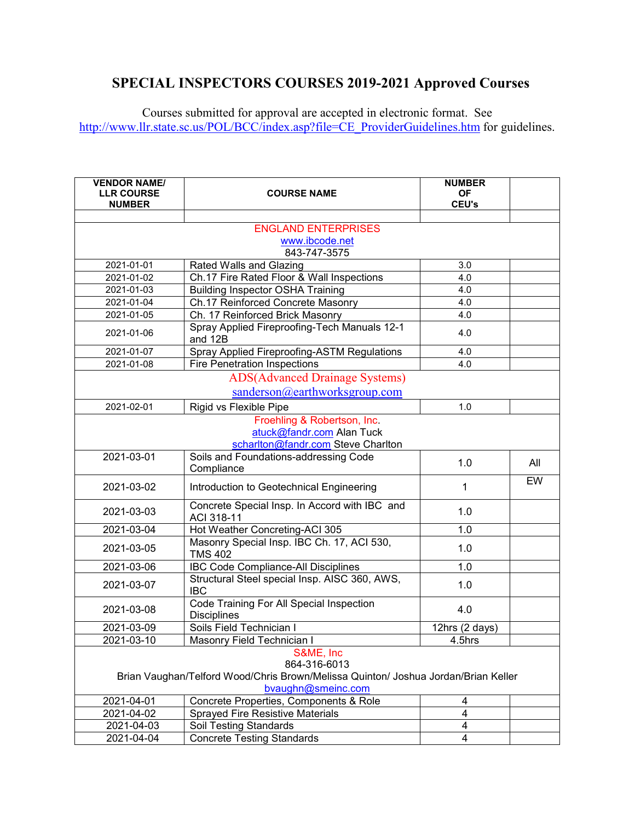## **SPECIAL INSPECTORS COURSES 2019-2021 Approved Courses**

Courses submitted for approval are accepted in electronic format. See [http://www.llr.state.sc.us/POL/BCC/index.asp?file=CE\\_ProviderGuidelines.htm](http://www.llr.state.sc.us/POL/BCC/index.asp?file=CE_ProviderGuidelines.htm) for guidelines.

| <b>VENDOR NAME/</b><br><b>LLR COURSE</b><br><b>NUMBER</b>                                                                             | <b>COURSE NAME</b>                                             | <b>NUMBER</b><br><b>OF</b><br><b>CEU's</b> |     |
|---------------------------------------------------------------------------------------------------------------------------------------|----------------------------------------------------------------|--------------------------------------------|-----|
|                                                                                                                                       |                                                                |                                            |     |
|                                                                                                                                       | <b>ENGLAND ENTERPRISES</b>                                     |                                            |     |
|                                                                                                                                       | www.ibcode.net                                                 |                                            |     |
|                                                                                                                                       | 843-747-3575                                                   |                                            |     |
| 2021-01-01                                                                                                                            | Rated Walls and Glazing                                        | 3.0                                        |     |
| 2021-01-02                                                                                                                            | Ch.17 Fire Rated Floor & Wall Inspections                      | 4.0                                        |     |
| 2021-01-03                                                                                                                            | <b>Building Inspector OSHA Training</b>                        | 4.0                                        |     |
| 2021-01-04                                                                                                                            | Ch.17 Reinforced Concrete Masonry                              | 4.0                                        |     |
| 2021-01-05                                                                                                                            | Ch. 17 Reinforced Brick Masonry                                | 4.0                                        |     |
| 2021-01-06                                                                                                                            | Spray Applied Fireproofing-Tech Manuals 12-1<br>and 12B        | 4.0                                        |     |
| 2021-01-07                                                                                                                            | Spray Applied Fireproofing-ASTM Regulations                    | 4.0                                        |     |
| 2021-01-08                                                                                                                            | <b>Fire Penetration Inspections</b>                            | 4.0                                        |     |
|                                                                                                                                       | <b>ADS</b> (Advanced Drainage Systems)                         |                                            |     |
|                                                                                                                                       | sanderson@earthworksgroup.com                                  |                                            |     |
| 2021-02-01                                                                                                                            | Rigid vs Flexible Pipe                                         | 1.0                                        |     |
| Froehling & Robertson, Inc.<br>atuck@fandr.com Alan Tuck<br>scharlton@fandr.com Steve Charlton                                        |                                                                |                                            |     |
| 2021-03-01                                                                                                                            | Soils and Foundations-addressing Code<br>Compliance            | 1.0                                        | All |
| 2021-03-02                                                                                                                            | Introduction to Geotechnical Engineering                       | 1                                          | EW  |
| 2021-03-03                                                                                                                            | Concrete Special Insp. In Accord with IBC and<br>ACI 318-11    | 1.0                                        |     |
| 2021-03-04                                                                                                                            | Hot Weather Concreting-ACI 305                                 | 1.0                                        |     |
| 2021-03-05                                                                                                                            | Masonry Special Insp. IBC Ch. 17, ACI 530,<br><b>TMS 402</b>   | 1.0                                        |     |
| 2021-03-06                                                                                                                            | <b>IBC Code Compliance-All Disciplines</b>                     | 1.0                                        |     |
| 2021-03-07                                                                                                                            | Structural Steel special Insp. AISC 360, AWS,<br><b>IBC</b>    | 1.0                                        |     |
| 2021-03-08                                                                                                                            | Code Training For All Special Inspection<br><b>Disciplines</b> | 4.0                                        |     |
| 2021-03-09                                                                                                                            | Soils Field Technician I                                       | 12hrs (2 days)                             |     |
| 2021-03-10                                                                                                                            | Masonry Field Technician I                                     | 4.5hrs                                     |     |
| S&ME, Inc<br>864-316-6013<br>Brian Vaughan/Telford Wood/Chris Brown/Melissa Quinton/ Joshua Jordan/Brian Keller<br>bvaughn@smeinc.com |                                                                |                                            |     |
| 2021-04-01                                                                                                                            | Concrete Properties, Components & Role                         | 4                                          |     |
| 2021-04-02                                                                                                                            | Sprayed Fire Resistive Materials                               | 4                                          |     |
| 2021-04-03                                                                                                                            | Soil Testing Standards                                         | 4                                          |     |
| 2021-04-04                                                                                                                            | <b>Concrete Testing Standards</b>                              | 4                                          |     |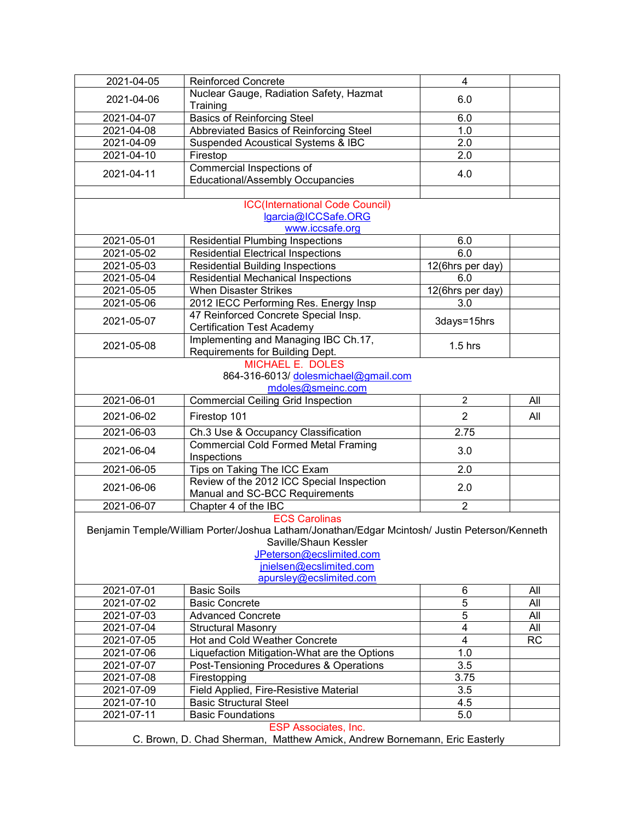| $2021 - 04 - 05$                                                          | <b>Reinforced Concrete</b>                                                                    | 4                            |                  |  |
|---------------------------------------------------------------------------|-----------------------------------------------------------------------------------------------|------------------------------|------------------|--|
| 2021-04-06                                                                | Nuclear Gauge, Radiation Safety, Hazmat                                                       | 6.0                          |                  |  |
|                                                                           | Training                                                                                      |                              |                  |  |
| 2021-04-07                                                                | <b>Basics of Reinforcing Steel</b>                                                            | 6.0                          |                  |  |
| 2021-04-08                                                                | Abbreviated Basics of Reinforcing Steel                                                       | 1.0                          |                  |  |
| 2021-04-09                                                                | <b>Suspended Acoustical Systems &amp; IBC</b>                                                 | 2.0                          |                  |  |
| 2021-04-10                                                                | Firestop                                                                                      | 2.0                          |                  |  |
| 2021-04-11                                                                | Commercial Inspections of                                                                     | 4.0                          |                  |  |
|                                                                           | Educational/Assembly Occupancies                                                              |                              |                  |  |
|                                                                           |                                                                                               |                              |                  |  |
|                                                                           | <b>ICC(International Code Council)</b>                                                        |                              |                  |  |
|                                                                           | lgarcia@ICCSafe.ORG<br>www.iccsafe.org                                                        |                              |                  |  |
| 2021-05-01                                                                | <b>Residential Plumbing Inspections</b>                                                       | 6.0                          |                  |  |
| 2021-05-02                                                                | <b>Residential Electrical Inspections</b>                                                     | 6.0                          |                  |  |
| 2021-05-03                                                                | <b>Residential Building Inspections</b>                                                       | 12(6hrs per day)             |                  |  |
| 2021-05-04                                                                | <b>Residential Mechanical Inspections</b>                                                     | 6.0                          |                  |  |
| 2021-05-05                                                                | <b>When Disaster Strikes</b>                                                                  | $12$ (6hrs per day)          |                  |  |
| 2021-05-06                                                                | 2012 IECC Performing Res. Energy Insp                                                         | 3.0                          |                  |  |
|                                                                           | 47 Reinforced Concrete Special Insp.                                                          |                              |                  |  |
| 2021-05-07                                                                | <b>Certification Test Academy</b>                                                             | 3days=15hrs                  |                  |  |
|                                                                           | Implementing and Managing IBC Ch.17,                                                          |                              |                  |  |
| 2021-05-08                                                                | Requirements for Building Dept.                                                               | $1.5$ hrs                    |                  |  |
|                                                                           | <b>MICHAEL E. DOLES</b>                                                                       |                              |                  |  |
|                                                                           | 864-316-6013/ dolesmichael@gmail.com                                                          |                              |                  |  |
|                                                                           | mdoles@smeinc.com                                                                             |                              |                  |  |
| 2021-06-01                                                                | <b>Commercial Ceiling Grid Inspection</b>                                                     | $\overline{2}$               | All              |  |
| 2021-06-02                                                                | Firestop 101                                                                                  | $\overline{2}$               | All              |  |
| 2021-06-03                                                                | Ch.3 Use & Occupancy Classification                                                           | 2.75                         |                  |  |
|                                                                           | <b>Commercial Cold Formed Metal Framing</b>                                                   |                              |                  |  |
| 2021-06-04                                                                | Inspections                                                                                   | 3.0                          |                  |  |
| 2021-06-05                                                                | Tips on Taking The ICC Exam                                                                   | 2.0                          |                  |  |
|                                                                           | Review of the 2012 ICC Special Inspection                                                     |                              |                  |  |
| 2021-06-06                                                                | Manual and SC-BCC Requirements                                                                | 2.0                          |                  |  |
| 2021-06-07                                                                | Chapter 4 of the IBC                                                                          | $\overline{2}$               |                  |  |
|                                                                           | <b>ECS Carolinas</b>                                                                          |                              |                  |  |
|                                                                           | Benjamin Temple/William Porter/Joshua Latham/Jonathan/Edgar Mcintosh/ Justin Peterson/Kenneth |                              |                  |  |
| Saville/Shaun Kessler                                                     |                                                                                               |                              |                  |  |
|                                                                           | JPeterson@ecslimited.com                                                                      |                              |                  |  |
|                                                                           | jnielsen@ecslimited.com                                                                       |                              |                  |  |
|                                                                           | apursley@ecslimited.com                                                                       |                              |                  |  |
| 2021-07-01                                                                | <b>Basic Soils</b>                                                                            | 6                            | All              |  |
| 2021-07-02                                                                | <b>Basic Concrete</b>                                                                         | 5                            | All              |  |
| 2021-07-03<br>2021-07-04                                                  | <b>Advanced Concrete</b>                                                                      | 5<br>$\overline{\mathbf{4}}$ | All              |  |
| 2021-07-05                                                                | <b>Structural Masonry</b><br>Hot and Cold Weather Concrete                                    | $\overline{4}$               | All<br><b>RC</b> |  |
| 2021-07-06                                                                |                                                                                               | 1.0                          |                  |  |
|                                                                           | Liquefaction Mitigation-What are the Options                                                  |                              |                  |  |
| 2021-07-07<br>2021-07-08                                                  | Post-Tensioning Procedures & Operations                                                       | 3.5<br>3.75                  |                  |  |
| 2021-07-09                                                                | Firestopping<br>Field Applied, Fire-Resistive Material                                        | 3.5                          |                  |  |
| 2021-07-10                                                                | <b>Basic Structural Steel</b>                                                                 | 4.5                          |                  |  |
| 2021-07-11                                                                | <b>Basic Foundations</b>                                                                      | 5.0                          |                  |  |
|                                                                           | <b>ESP Associates, Inc.</b>                                                                   |                              |                  |  |
| C. Brown, D. Chad Sherman, Matthew Amick, Andrew Bornemann, Eric Easterly |                                                                                               |                              |                  |  |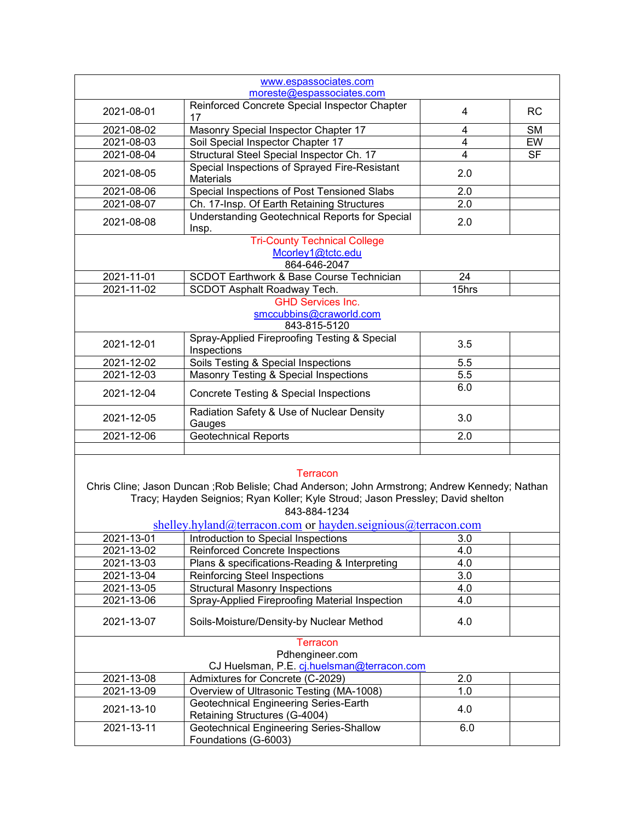| www.espassociates.com                                                                                                                                                                                                                                                                |                                                                        |                |           |
|--------------------------------------------------------------------------------------------------------------------------------------------------------------------------------------------------------------------------------------------------------------------------------------|------------------------------------------------------------------------|----------------|-----------|
| moreste@espassociates.com                                                                                                                                                                                                                                                            |                                                                        |                |           |
| 2021-08-01                                                                                                                                                                                                                                                                           | Reinforced Concrete Special Inspector Chapter<br>17                    | 4              | <b>RC</b> |
| 2021-08-02                                                                                                                                                                                                                                                                           | Masonry Special Inspector Chapter 17                                   | 4              | <b>SM</b> |
| 2021-08-03                                                                                                                                                                                                                                                                           | Soil Special Inspector Chapter 17                                      | 4              | EW        |
| 2021-08-04                                                                                                                                                                                                                                                                           | Structural Steel Special Inspector Ch. 17                              | $\overline{4}$ | <b>SF</b> |
| 2021-08-05                                                                                                                                                                                                                                                                           | Special Inspections of Sprayed Fire-Resistant<br><b>Materials</b>      | 2.0            |           |
| 2021-08-06                                                                                                                                                                                                                                                                           | Special Inspections of Post Tensioned Slabs                            | 2.0            |           |
| 2021-08-07                                                                                                                                                                                                                                                                           | Ch. 17-Insp. Of Earth Retaining Structures                             | 2.0            |           |
| 2021-08-08                                                                                                                                                                                                                                                                           | Understanding Geotechnical Reports for Special<br>Insp.                | 2.0            |           |
|                                                                                                                                                                                                                                                                                      | <b>Tri-County Technical College</b>                                    |                |           |
|                                                                                                                                                                                                                                                                                      | Mcorley1@tctc.edu<br>864-646-2047                                      |                |           |
| 2021-11-01                                                                                                                                                                                                                                                                           | <b>SCDOT Earthwork &amp; Base Course Technician</b>                    | 24             |           |
| 2021-11-02                                                                                                                                                                                                                                                                           | <b>SCDOT Asphalt Roadway Tech.</b>                                     | 15hrs          |           |
|                                                                                                                                                                                                                                                                                      | <b>GHD Services Inc.</b>                                               |                |           |
|                                                                                                                                                                                                                                                                                      | smccubbins@craworld.com<br>843-815-5120                                |                |           |
| 2021-12-01                                                                                                                                                                                                                                                                           | Spray-Applied Fireproofing Testing & Special<br>Inspections            | 3.5            |           |
| 2021-12-02                                                                                                                                                                                                                                                                           | Soils Testing & Special Inspections                                    | 5.5            |           |
| 2021-12-03                                                                                                                                                                                                                                                                           | Masonry Testing & Special Inspections                                  | 5.5            |           |
| 2021-12-04                                                                                                                                                                                                                                                                           | Concrete Testing & Special Inspections                                 | 6.0            |           |
| 2021-12-05                                                                                                                                                                                                                                                                           | Radiation Safety & Use of Nuclear Density<br>Gauges                    | 3.0            |           |
| 2021-12-06                                                                                                                                                                                                                                                                           | <b>Geotechnical Reports</b>                                            | 2.0            |           |
|                                                                                                                                                                                                                                                                                      |                                                                        |                |           |
| <b>Terracon</b><br>Chris Cline; Jason Duncan ; Rob Belisle; Chad Anderson; John Armstrong; Andrew Kennedy; Nathan<br>Tracy; Hayden Seignios; Ryan Koller; Kyle Stroud; Jason Pressley; David shelton<br>843-884-1234<br>shelley.hyland@terracon.com or hayden.seignious@terracon.com |                                                                        |                |           |
| 2021-13-01                                                                                                                                                                                                                                                                           | Introduction to Special Inspections                                    | 3.0            |           |
| 2021-13-02                                                                                                                                                                                                                                                                           | <b>Reinforced Concrete Inspections</b>                                 | 4.0            |           |
| 2021-13-03                                                                                                                                                                                                                                                                           | Plans & specifications-Reading & Interpreting                          | 4.0            |           |
| 2021-13-04                                                                                                                                                                                                                                                                           | <b>Reinforcing Steel Inspections</b>                                   | 3.0            |           |
| 2021-13-05                                                                                                                                                                                                                                                                           | <b>Structural Masonry Inspections</b>                                  | 4.0            |           |
| 2021-13-06                                                                                                                                                                                                                                                                           | Spray-Applied Fireproofing Material Inspection                         | 4.0            |           |
| 2021-13-07                                                                                                                                                                                                                                                                           | Soils-Moisture/Density-by Nuclear Method                               | 4.0            |           |
| <b>Terracon</b><br>Pdhengineer.com<br>CJ Huelsman, P.E. cj.huelsman@terracon.com                                                                                                                                                                                                     |                                                                        |                |           |
| 2021-13-08                                                                                                                                                                                                                                                                           | Admixtures for Concrete (C-2029)                                       | 2.0            |           |
| 2021-13-09                                                                                                                                                                                                                                                                           | Overview of Ultrasonic Testing (MA-1008)                               | 1.0            |           |
| 2021-13-10                                                                                                                                                                                                                                                                           | Geotechnical Engineering Series-Earth<br>Retaining Structures (G-4004) | 4.0            |           |
| 2021-13-11                                                                                                                                                                                                                                                                           | Geotechnical Engineering Series-Shallow<br>Foundations (G-6003)        | 6.0            |           |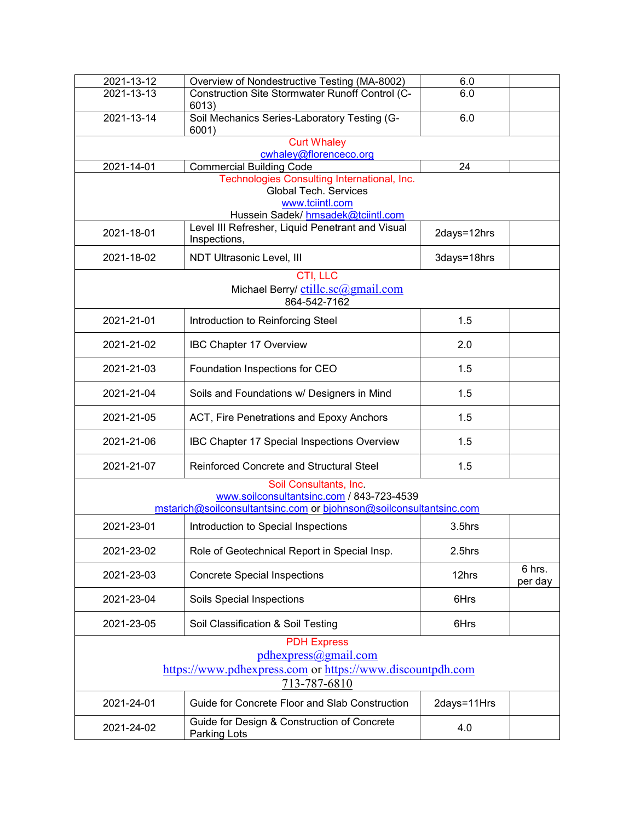| 2021-13-12                                                                                                                                | Overview of Nondestructive Testing (MA-8002)                                                                                         | 6.0         |                   |
|-------------------------------------------------------------------------------------------------------------------------------------------|--------------------------------------------------------------------------------------------------------------------------------------|-------------|-------------------|
| $2021 - 13 - 13$                                                                                                                          | Construction Site Stormwater Runoff Control (C-<br>6013)                                                                             | 6.0         |                   |
| 2021-13-14                                                                                                                                | Soil Mechanics Series-Laboratory Testing (G-<br>6001)                                                                                | 6.0         |                   |
|                                                                                                                                           | <b>Curt Whaley</b>                                                                                                                   |             |                   |
| 2021-14-01                                                                                                                                | cwhaley@florenceco.org<br><b>Commercial Building Code</b>                                                                            | 24          |                   |
|                                                                                                                                           | Technologies Consulting International, Inc.<br><b>Global Tech. Services</b><br>www.tciintl.com<br>Hussein Sadek/ hmsadek@tciintl.com |             |                   |
| 2021-18-01                                                                                                                                | Level III Refresher, Liquid Penetrant and Visual<br>Inspections,                                                                     | 2days=12hrs |                   |
| 2021-18-02                                                                                                                                | NDT Ultrasonic Level, III                                                                                                            | 3days=18hrs |                   |
|                                                                                                                                           | CTI, LLC<br>Michael Berry/ ctillc.sc@gmail.com<br>864-542-7162                                                                       |             |                   |
| 2021-21-01                                                                                                                                | Introduction to Reinforcing Steel                                                                                                    | 1.5         |                   |
| 2021-21-02                                                                                                                                | <b>IBC Chapter 17 Overview</b>                                                                                                       | 2.0         |                   |
| 2021-21-03                                                                                                                                | Foundation Inspections for CEO                                                                                                       | 1.5         |                   |
| 2021-21-04                                                                                                                                | Soils and Foundations w/ Designers in Mind                                                                                           | 1.5         |                   |
| 2021-21-05                                                                                                                                | ACT, Fire Penetrations and Epoxy Anchors                                                                                             | 1.5         |                   |
| 2021-21-06                                                                                                                                | IBC Chapter 17 Special Inspections Overview                                                                                          | 1.5         |                   |
| 2021-21-07                                                                                                                                | <b>Reinforced Concrete and Structural Steel</b>                                                                                      | 1.5         |                   |
| Soil Consultants, Inc.<br>www.soilconsultantsinc.com / 843-723-4539<br>mstarich@soilconsultantsinc.com or bjohnson@soilconsultantsinc.com |                                                                                                                                      |             |                   |
| 2021-23-01                                                                                                                                | Introduction to Special Inspections                                                                                                  | 3.5hrs      |                   |
| 2021-23-02                                                                                                                                | Role of Geotechnical Report in Special Insp.                                                                                         | 2.5hrs      |                   |
| 2021-23-03                                                                                                                                | <b>Concrete Special Inspections</b>                                                                                                  | 12hrs       | 6 hrs.<br>per day |
| 2021-23-04                                                                                                                                | Soils Special Inspections                                                                                                            | 6Hrs        |                   |
| 2021-23-05                                                                                                                                | Soil Classification & Soil Testing                                                                                                   | 6Hrs        |                   |
| <b>PDH Express</b><br>pdhexpress@gmail.com<br>https://www.pdhexpress.com or https://www.discountpdh.com<br>713-787-6810                   |                                                                                                                                      |             |                   |
| 2021-24-01                                                                                                                                | Guide for Concrete Floor and Slab Construction                                                                                       | 2days=11Hrs |                   |
| 2021-24-02                                                                                                                                | Guide for Design & Construction of Concrete<br>Parking Lots                                                                          | 4.0         |                   |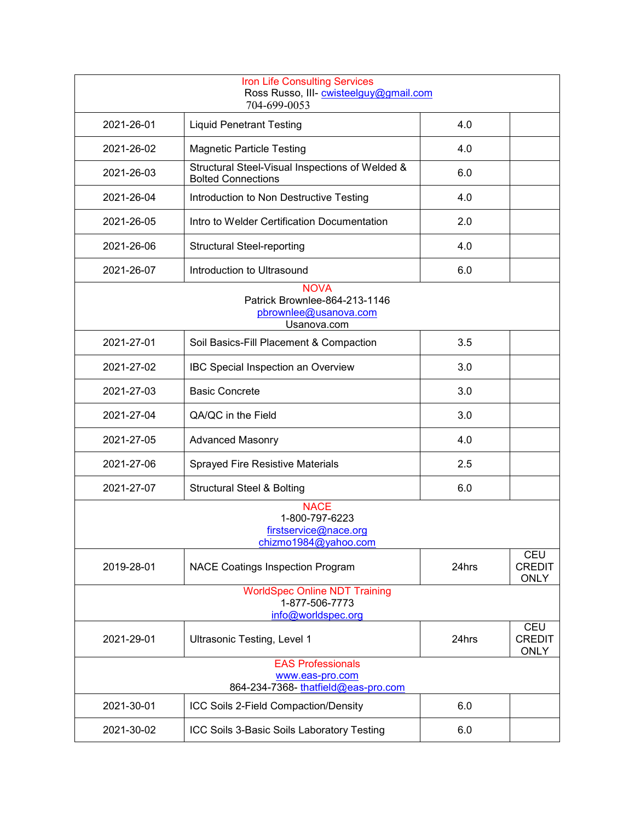|                                                                                    | <b>Iron Life Consulting Services</b><br>Ross Russo, III- cwisteelguy@gmail.com<br>704-699-0053 |       |                                            |
|------------------------------------------------------------------------------------|------------------------------------------------------------------------------------------------|-------|--------------------------------------------|
| 2021-26-01                                                                         | <b>Liquid Penetrant Testing</b>                                                                | 4.0   |                                            |
| 2021-26-02                                                                         | <b>Magnetic Particle Testing</b>                                                               | 4.0   |                                            |
| 2021-26-03                                                                         | Structural Steel-Visual Inspections of Welded &<br><b>Bolted Connections</b>                   | 6.0   |                                            |
| 2021-26-04                                                                         | Introduction to Non Destructive Testing                                                        | 4.0   |                                            |
| 2021-26-05                                                                         | Intro to Welder Certification Documentation                                                    | 2.0   |                                            |
| 2021-26-06                                                                         | <b>Structural Steel-reporting</b>                                                              | 4.0   |                                            |
| 2021-26-07                                                                         | Introduction to Ultrasound                                                                     | 6.0   |                                            |
|                                                                                    | <b>NOVA</b><br>Patrick Brownlee-864-213-1146<br>pbrownlee@usanova.com<br>Usanova.com           |       |                                            |
| 2021-27-01                                                                         | Soil Basics-Fill Placement & Compaction                                                        | 3.5   |                                            |
| 2021-27-02                                                                         | IBC Special Inspection an Overview                                                             | 3.0   |                                            |
| 2021-27-03                                                                         | <b>Basic Concrete</b>                                                                          | 3.0   |                                            |
| 2021-27-04                                                                         | QA/QC in the Field                                                                             | 3.0   |                                            |
| 2021-27-05                                                                         | <b>Advanced Masonry</b>                                                                        | 4.0   |                                            |
| 2021-27-06                                                                         | <b>Sprayed Fire Resistive Materials</b>                                                        | 2.5   |                                            |
| 2021-27-07                                                                         | <b>Structural Steel &amp; Bolting</b>                                                          | 6.0   |                                            |
|                                                                                    | <b>NACE</b><br>1-800-797-6223<br>firstservice@nace.org<br>chizmo1984@yahoo.com                 |       |                                            |
| 2019-28-01                                                                         | <b>NACE Coatings Inspection Program</b>                                                        | 24hrs | <b>CEU</b><br><b>CREDIT</b><br><b>ONLY</b> |
| <b>WorldSpec Online NDT Training</b><br>1-877-506-7773<br>info@worldspec.org       |                                                                                                |       |                                            |
| 2021-29-01                                                                         | Ultrasonic Testing, Level 1                                                                    | 24hrs | <b>CEU</b><br><b>CREDIT</b><br><b>ONLY</b> |
| <b>EAS Professionals</b><br>www.eas-pro.com<br>864-234-7368- thatfield@eas-pro.com |                                                                                                |       |                                            |
| 2021-30-01                                                                         | ICC Soils 2-Field Compaction/Density                                                           | 6.0   |                                            |
| 2021-30-02                                                                         | ICC Soils 3-Basic Soils Laboratory Testing                                                     | 6.0   |                                            |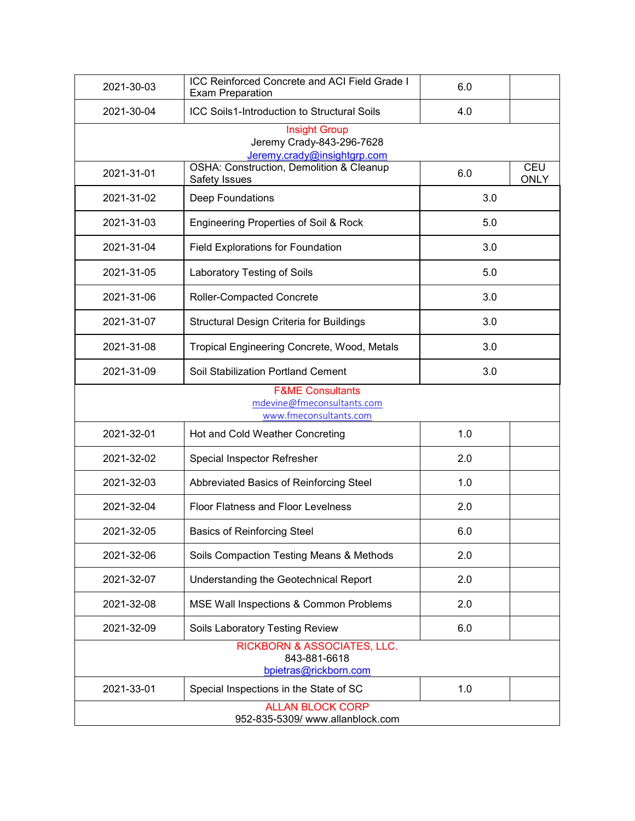| 2021-30-03                                                                          | ICC Reinforced Concrete and ACI Field Grade I<br><b>Exam Preparation</b>         | 6.0 |                           |
|-------------------------------------------------------------------------------------|----------------------------------------------------------------------------------|-----|---------------------------|
| 2021-30-04                                                                          | <b>ICC Soils1-Introduction to Structural Soils</b>                               | 4.0 |                           |
|                                                                                     | <b>Insight Group</b><br>Jeremy Crady-843-296-7628<br>Jeremy.crady@insightgrp.com |     |                           |
| 2021-31-01                                                                          | OSHA: Construction, Demolition & Cleanup<br>Safety Issues                        | 6.0 | <b>CEU</b><br><b>ONLY</b> |
| 2021-31-02                                                                          | Deep Foundations                                                                 | 3.0 |                           |
| 2021-31-03                                                                          | Engineering Properties of Soil & Rock                                            | 5.0 |                           |
| 2021-31-04                                                                          | Field Explorations for Foundation                                                | 3.0 |                           |
| 2021-31-05                                                                          | Laboratory Testing of Soils                                                      | 5.0 |                           |
| 2021-31-06                                                                          | Roller-Compacted Concrete                                                        | 3.0 |                           |
| 2021-31-07                                                                          | Structural Design Criteria for Buildings                                         | 3.0 |                           |
| 2021-31-08                                                                          | Tropical Engineering Concrete, Wood, Metals                                      | 3.0 |                           |
| 2021-31-09                                                                          | Soil Stabilization Portland Cement                                               | 3.0 |                           |
| <b>F&amp;ME Consultants</b><br>mdevine@fmeconsultants.com<br>www.fmeconsultants.com |                                                                                  |     |                           |
| 2021-32-01                                                                          | Hot and Cold Weather Concreting                                                  | 1.0 |                           |
| 2021-32-02                                                                          | Special Inspector Refresher                                                      | 2.0 |                           |
| 2021-32-03                                                                          | Abbreviated Basics of Reinforcing Steel                                          | 1.0 |                           |
| 2021-32-04                                                                          | Floor Flatness and Floor Levelness                                               | 2.0 |                           |
| 2021-32-05                                                                          | <b>Basics of Reinforcing Steel</b>                                               | 6.0 |                           |
| 2021-32-06                                                                          | Soils Compaction Testing Means & Methods                                         | 2.0 |                           |
| 2021-32-07                                                                          | Understanding the Geotechnical Report                                            | 2.0 |                           |
| 2021-32-08                                                                          | MSE Wall Inspections & Common Problems                                           | 2.0 |                           |
| 2021-32-09                                                                          | Soils Laboratory Testing Review                                                  | 6.0 |                           |
|                                                                                     | RICKBORN & ASSOCIATES, LLC.<br>843-881-6618<br>bpietras@rickborn.com             |     |                           |
| 2021-33-01                                                                          | Special Inspections in the State of SC                                           | 1.0 |                           |
|                                                                                     | <b>ALLAN BLOCK CORP</b><br>952-835-5309/ www.allanblock.com                      |     |                           |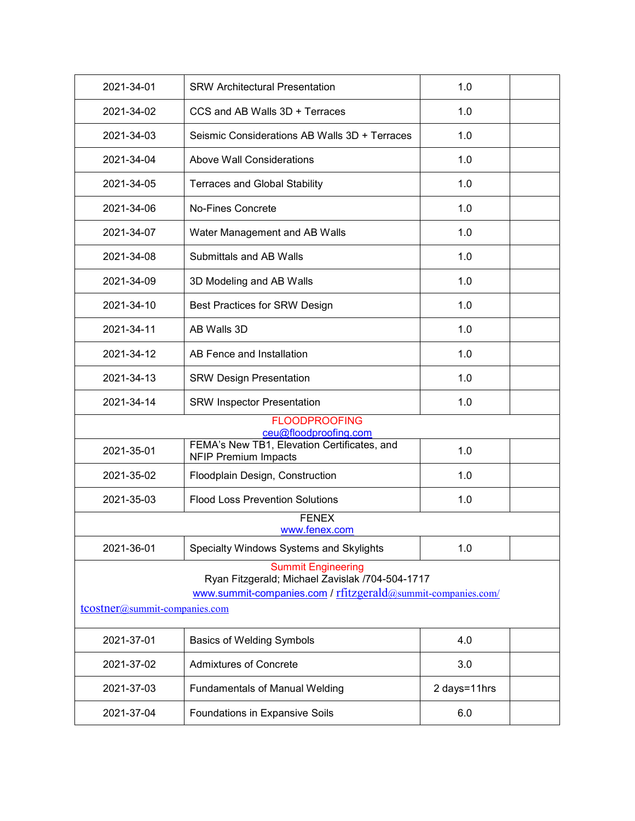| 2021-34-01                                                                                                                                                                    | <b>SRW Architectural Presentation</b>                                      | 1.0          |  |
|-------------------------------------------------------------------------------------------------------------------------------------------------------------------------------|----------------------------------------------------------------------------|--------------|--|
| 2021-34-02                                                                                                                                                                    | CCS and AB Walls 3D + Terraces                                             | 1.0          |  |
| 2021-34-03                                                                                                                                                                    | Seismic Considerations AB Walls 3D + Terraces                              | 1.0          |  |
| 2021-34-04                                                                                                                                                                    | <b>Above Wall Considerations</b>                                           | 1.0          |  |
| 2021-34-05                                                                                                                                                                    | <b>Terraces and Global Stability</b>                                       | 1.0          |  |
| 2021-34-06                                                                                                                                                                    | <b>No-Fines Concrete</b>                                                   | 1.0          |  |
| 2021-34-07                                                                                                                                                                    | Water Management and AB Walls                                              | 1.0          |  |
| 2021-34-08                                                                                                                                                                    | <b>Submittals and AB Walls</b>                                             | 1.0          |  |
| 2021-34-09                                                                                                                                                                    | 3D Modeling and AB Walls                                                   | 1.0          |  |
| 2021-34-10                                                                                                                                                                    | Best Practices for SRW Design                                              | 1.0          |  |
| 2021-34-11                                                                                                                                                                    | AB Walls 3D                                                                | 1.0          |  |
| 2021-34-12                                                                                                                                                                    | AB Fence and Installation                                                  | 1.0          |  |
| 2021-34-13                                                                                                                                                                    | <b>SRW Design Presentation</b>                                             | 1.0          |  |
| 2021-34-14                                                                                                                                                                    | <b>SRW Inspector Presentation</b>                                          | 1.0          |  |
| <b>FLOODPROOFING</b><br>ceu@floodproofing.com                                                                                                                                 |                                                                            |              |  |
| 2021-35-01                                                                                                                                                                    | FEMA's New TB1, Elevation Certificates, and<br><b>NFIP Premium Impacts</b> | 1.0          |  |
| 2021-35-02                                                                                                                                                                    | Floodplain Design, Construction                                            | 1.0          |  |
| 2021-35-03                                                                                                                                                                    | <b>Flood Loss Prevention Solutions</b>                                     | 1.0          |  |
| <b>FENEX</b><br>www.fenex.com                                                                                                                                                 |                                                                            |              |  |
| 2021-36-01                                                                                                                                                                    | Specialty Windows Systems and Skylights                                    | 1.0          |  |
| <b>Summit Engineering</b><br>Ryan Fitzgerald; Michael Zavislak /704-504-1717<br>www.summit-companies.com / rfitzgerald@summit-companies.com/<br>tcostner@summit-companies.com |                                                                            |              |  |
|                                                                                                                                                                               |                                                                            |              |  |
| 2021-37-01                                                                                                                                                                    | <b>Basics of Welding Symbols</b>                                           | 4.0          |  |
| 2021-37-02                                                                                                                                                                    | <b>Admixtures of Concrete</b>                                              | 3.0          |  |
| 2021-37-03                                                                                                                                                                    | <b>Fundamentals of Manual Welding</b>                                      | 2 days=11hrs |  |
| 2021-37-04                                                                                                                                                                    | Foundations in Expansive Soils                                             | 6.0          |  |